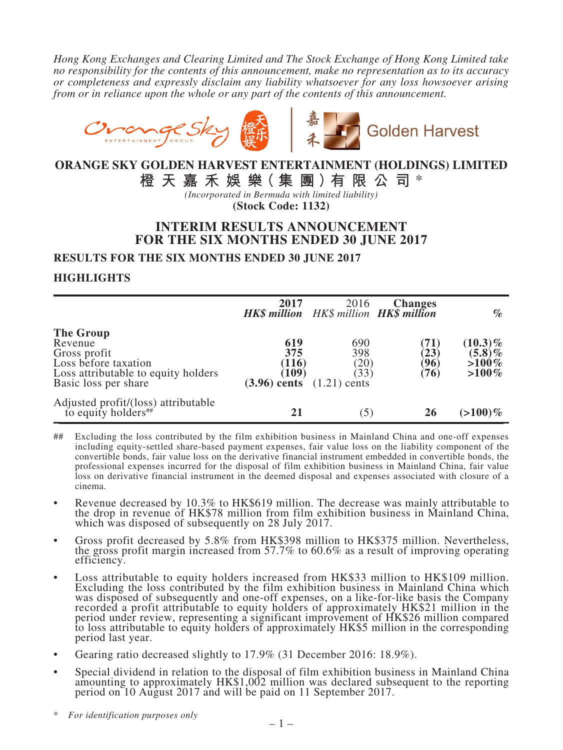*Hong Kong Exchanges and Clearing Limited and The Stock Exchange of Hong Kong Limited take no responsibility for the contents of this announcement, make no representation as to its accuracy or completeness and expressly disclaim any liability whatsoever for any loss howsoever arising from or in reliance upon the whole or any part of the contents of this announcement.*



# **ORANGE SKY GOLDEN HARVEST ENTERTAINMENT (HOLDINGS) LIMITED**

**橙 天 嘉 禾 娛 樂( 集 團 )有 限 公 司** \*

*(Incorporated in Bermuda with limited liability)* **(Stock Code: 1132)**

# **INTERIM RESULTS ANNOUNCEMENT FOR THE SIX MONTHS ENDED 30 JUNE 2017**

**RESULTS FOR THE SIX MONTHS ENDED 30 JUNE 2017**

### **HIGHLIGHTS**

|                                                                                                                                    | 2017<br>HK\$ million HK\$ million HK\$ million                                | 2016                               | <b>Changes</b>               | $\%$                                            |
|------------------------------------------------------------------------------------------------------------------------------------|-------------------------------------------------------------------------------|------------------------------------|------------------------------|-------------------------------------------------|
| <b>The Group</b><br>Revenue<br>Gross profit<br>Loss before taxation<br>Loss attributable to equity holders<br>Basic loss per share | 619<br>375<br>(116)<br>$\langle 109 \rangle$<br>$(3.96)$ cents $(1.21)$ cents | 690<br>398<br>(20)<br>$33^{\circ}$ | (71)<br>(23)<br>(96)<br>(76) | $(10.3)\%$<br>$(5.8)\%$<br>$>100\%$<br>$>100\%$ |
| Adjusted profit/(loss) attributable<br>to equity holders <sup>##</sup>                                                             | 21                                                                            | $\left(5\right)$                   | 26                           | $(>100)\%$                                      |

- ## Excluding the loss contributed by the film exhibition business in Mainland China and one-off expenses including equity-settled share-based payment expenses, fair value loss on the liability component of the convertible bonds, fair value loss on the derivative financial instrument embedded in convertible bonds, the professional expenses incurred for the disposal of film exhibition business in Mainland China, fair value loss on derivative financial instrument in the deemed disposal and expenses associated with closure of a cinema.
- Revenue decreased by 10.3% to HK\$619 million. The decrease was mainly attributable to the drop in revenue of HK\$78 million from film exhibition business in Mainland China, which was disposed of subsequently on 28 July 2017.
- Gross profit decreased by 5.8% from HK\$398 million to HK\$375 million. Nevertheless, the gross profit margin increased from 57.7% to 60.6% as <sup>a</sup> result of improving operating efficiency.
- Loss attributable to equity holders increased from HK\$33 million to HK\$109 million. Excluding the loss contributed by the film exhibition business in Mainland China which was disposed of subsequently and one-off expenses, on a like-for-like basis the Company recorded a profit attributable to equity holders of approximately HK\$21 million in the period under review, representing a significant improvement of HK\$26 million compared to loss attributable to equity holders of approximately HK\$5 million in the corresponding period last year.
- Gearing ratio decreased slightly to 17.9% (31 December 2016: 18.9%).
- • Special dividend in relation to the disposal of film exhibition business in Mainland China amounting to approximately HK\$1,002 million was declared subsequent to the reporting period on <sup>10</sup> August <sup>2017</sup> and will be paid on <sup>11</sup> September 2017.

\* *For identification purposes only*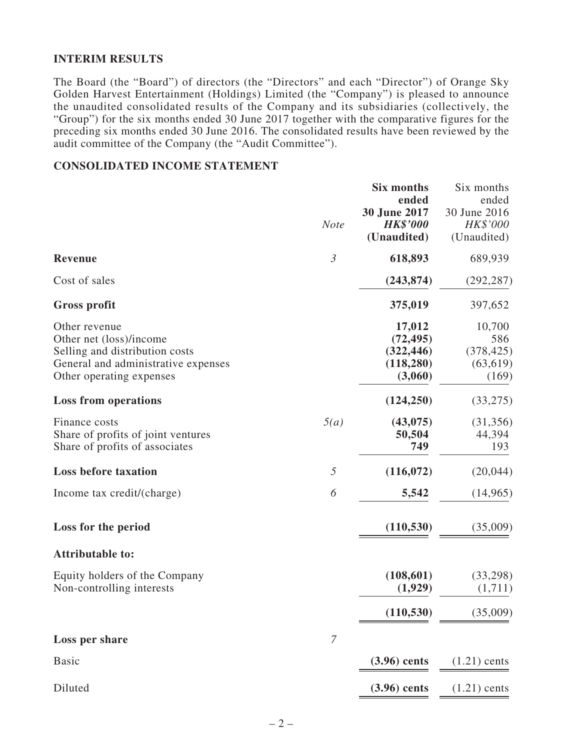### **INTERIM RESULTS**

The Board (the "Board") of directors (the "Directors" and each "Director") of Orange Sky Golden Harvest Entertainment (Holdings) Limited (the "Company") is pleased to announce the unaudited consolidated results of the Company and its subsidiaries (collectively, the "Group") for the six months ended 30 June 2017 together with the comparative figures for the preceding six months ended 30 June 2016. The consolidated results have been reviewed by the audit committee of the Company (the "Audit Committee").

### **CONSOLIDATED INCOME STATEMENT**

|                                                                                                                                               | <b>Note</b>      | <b>Six months</b><br>ended<br>30 June 2017<br><b>HK\$'000</b><br>(Unaudited) | Six months<br>ended<br>30 June 2016<br>HK\$'000<br>(Unaudited) |
|-----------------------------------------------------------------------------------------------------------------------------------------------|------------------|------------------------------------------------------------------------------|----------------------------------------------------------------|
| <b>Revenue</b>                                                                                                                                | $\mathfrak{Z}$   | 618,893                                                                      | 689,939                                                        |
| Cost of sales                                                                                                                                 |                  | (243, 874)                                                                   | (292, 287)                                                     |
| Gross profit                                                                                                                                  |                  | 375,019                                                                      | 397,652                                                        |
| Other revenue<br>Other net (loss)/income<br>Selling and distribution costs<br>General and administrative expenses<br>Other operating expenses |                  | 17,012<br>(72, 495)<br>(322, 446)<br>(118, 280)<br>(3,060)                   | 10,700<br>586<br>(378, 425)<br>(63, 619)<br>(169)              |
| <b>Loss from operations</b>                                                                                                                   |                  | (124, 250)                                                                   | (33, 275)                                                      |
| Finance costs<br>Share of profits of joint ventures<br>Share of profits of associates                                                         | 5(a)             | (43, 075)<br>50,504<br>749                                                   | (31, 356)<br>44,394<br>193                                     |
| <b>Loss before taxation</b>                                                                                                                   | 5                | (116,072)                                                                    | (20,044)                                                       |
| Income tax credit/(charge)                                                                                                                    | 6                | 5,542                                                                        | (14,965)                                                       |
| Loss for the period                                                                                                                           |                  | (110, 530)                                                                   | (35,009)                                                       |
| <b>Attributable to:</b>                                                                                                                       |                  |                                                                              |                                                                |
| Equity holders of the Company<br>Non-controlling interests                                                                                    |                  | (108, 601)<br>(1,929)                                                        | (33,298)<br>(1,711)                                            |
|                                                                                                                                               |                  | (110, 530)                                                                   | (35,009)                                                       |
| Loss per share                                                                                                                                | $\boldsymbol{7}$ |                                                                              |                                                                |
| <b>Basic</b>                                                                                                                                  |                  | $(3.96)$ cents                                                               | $(1.21)$ cents                                                 |
| Diluted                                                                                                                                       |                  | $(3.96)$ cents                                                               | $(1.21)$ cents                                                 |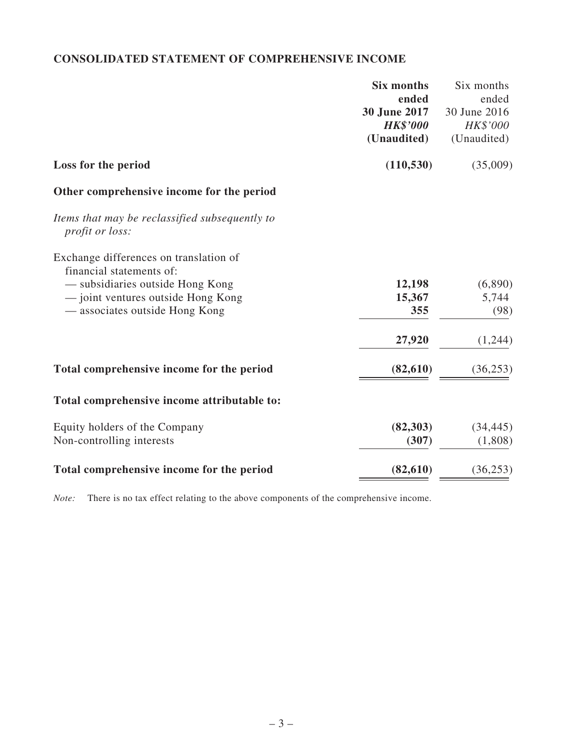# **CONSOLIDATED STATEMENT OF COMPREHENSIVE INCOME**

| Six months | Six months                                                        |
|------------|-------------------------------------------------------------------|
|            | ended                                                             |
|            | 30 June 2016                                                      |
|            | HK\$'000                                                          |
|            | (Unaudited)                                                       |
| (110, 530) | (35,009)                                                          |
|            |                                                                   |
|            |                                                                   |
|            |                                                                   |
|            | (6,890)                                                           |
| 15,367     | 5,744                                                             |
| 355        | (98)                                                              |
| 27,920     | (1,244)                                                           |
| (82, 610)  | (36, 253)                                                         |
|            |                                                                   |
| (82, 303)  | (34, 445)                                                         |
| (307)      | (1,808)                                                           |
| (82, 610)  | (36, 253)                                                         |
|            | ended<br>30 June 2017<br><b>HK\$'000</b><br>(Unaudited)<br>12,198 |

*Note:* There is no tax effect relating to the above components of the comprehensive income.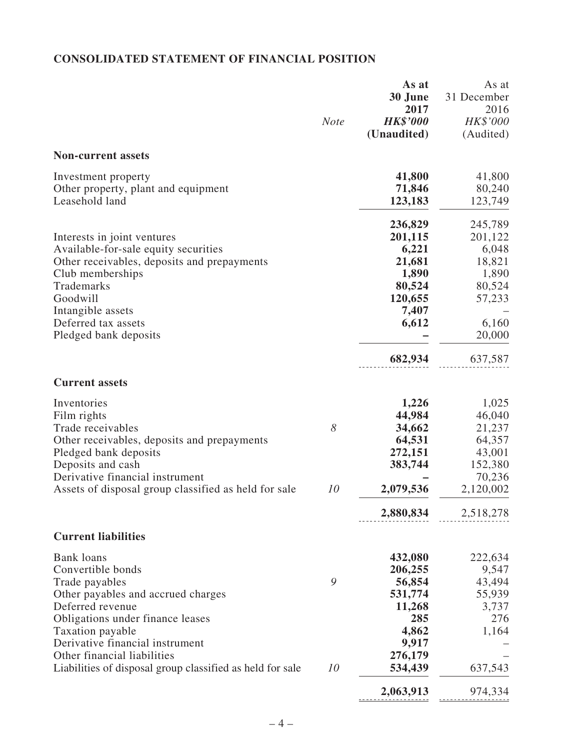# **CONSOLIDATED STATEMENT OF FINANCIAL POSITION**

|                                                           | <b>Note</b> | As at<br>30 June<br>2017<br><b>HK\$'000</b><br>(Unaudited) | As at<br>31 December<br>2016<br>HK\$'000<br>(Audited) |
|-----------------------------------------------------------|-------------|------------------------------------------------------------|-------------------------------------------------------|
| <b>Non-current assets</b>                                 |             |                                                            |                                                       |
| Investment property                                       |             | 41,800                                                     | 41,800                                                |
| Other property, plant and equipment<br>Leasehold land     |             | 71,846<br>123,183                                          | 80,240<br>123,749                                     |
|                                                           |             | 236,829                                                    | 245,789                                               |
| Interests in joint ventures                               |             | 201,115                                                    | 201,122                                               |
| Available-for-sale equity securities                      |             | 6,221                                                      | 6,048                                                 |
| Other receivables, deposits and prepayments               |             | 21,681                                                     | 18,821                                                |
| Club memberships                                          |             | 1,890                                                      | 1,890                                                 |
| Trademarks                                                |             | 80,524                                                     | 80,524                                                |
| Goodwill                                                  |             | 120,655                                                    | 57,233                                                |
| Intangible assets                                         |             | 7,407                                                      |                                                       |
| Deferred tax assets                                       |             | 6,612                                                      | 6,160                                                 |
| Pledged bank deposits                                     |             |                                                            | 20,000                                                |
|                                                           |             | 682,934                                                    | 637,587                                               |
| <b>Current assets</b>                                     |             |                                                            |                                                       |
| Inventories                                               |             | 1,226                                                      | 1,025                                                 |
| Film rights                                               |             | 44,984                                                     | 46,040                                                |
| Trade receivables                                         | 8           | 34,662                                                     | 21,237                                                |
| Other receivables, deposits and prepayments               |             | 64,531                                                     | 64,357                                                |
| Pledged bank deposits                                     |             | 272,151                                                    | 43,001                                                |
| Deposits and cash                                         |             | 383,744                                                    | 152,380                                               |
| Derivative financial instrument                           |             |                                                            | 70,236                                                |
| Assets of disposal group classified as held for sale      | 10          | 2,079,536                                                  | 2,120,002                                             |
|                                                           |             | 2,880,834                                                  | 2,518,278                                             |
| <b>Current liabilities</b>                                |             |                                                            |                                                       |
| <b>Bank</b> loans                                         |             | 432,080                                                    | 222,634                                               |
| Convertible bonds                                         |             | 206,255                                                    | 9,547                                                 |
| Trade payables                                            | 9           | 56,854                                                     | 43,494                                                |
| Other payables and accrued charges                        |             | 531,774                                                    | 55,939                                                |
| Deferred revenue                                          |             | 11,268                                                     | 3,737                                                 |
| Obligations under finance leases                          |             | 285                                                        | 276                                                   |
| Taxation payable                                          |             | 4,862                                                      | 1,164                                                 |
| Derivative financial instrument                           |             | 9,917                                                      |                                                       |
| Other financial liabilities                               |             | 276,179                                                    |                                                       |
| Liabilities of disposal group classified as held for sale | 10          | 534,439                                                    | 637,543                                               |
|                                                           |             | 2,063,913                                                  | 974,334                                               |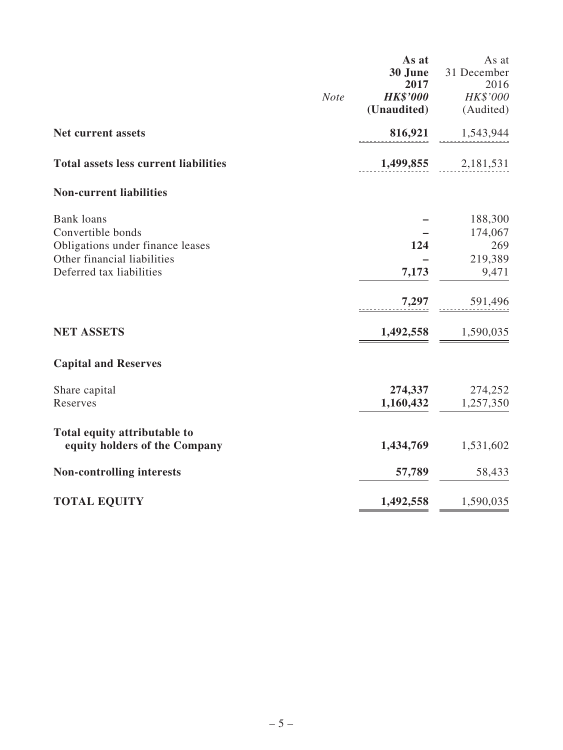|                                                                                                                                       | <b>Note</b> | As at<br>30 June<br>2017<br><b>HK\$'000</b><br>(Unaudited) | As at<br>31 December<br>2016<br>HK\$'000<br>(Audited) |
|---------------------------------------------------------------------------------------------------------------------------------------|-------------|------------------------------------------------------------|-------------------------------------------------------|
| Net current assets                                                                                                                    |             | 816,921                                                    | 1,543,944                                             |
| <b>Total assets less current liabilities</b>                                                                                          |             |                                                            | $1,499,855$ 2,181,531                                 |
| <b>Non-current liabilities</b>                                                                                                        |             |                                                            |                                                       |
| <b>Bank</b> loans<br>Convertible bonds<br>Obligations under finance leases<br>Other financial liabilities<br>Deferred tax liabilities |             | 124<br>7,173                                               | 188,300<br>174,067<br>269<br>219,389<br>9,471         |
|                                                                                                                                       |             | 7,297                                                      | 591,496                                               |
| <b>NET ASSETS</b>                                                                                                                     |             | 1,492,558                                                  | 1,590,035                                             |
| <b>Capital and Reserves</b>                                                                                                           |             |                                                            |                                                       |
| Share capital<br>Reserves                                                                                                             |             | 274,337<br>1,160,432                                       | 274,252<br>1,257,350                                  |
| Total equity attributable to<br>equity holders of the Company                                                                         |             | 1,434,769                                                  | 1,531,602                                             |
| <b>Non-controlling interests</b>                                                                                                      |             | 57,789                                                     | 58,433                                                |
| <b>TOTAL EQUITY</b>                                                                                                                   |             | 1,492,558                                                  | 1,590,035                                             |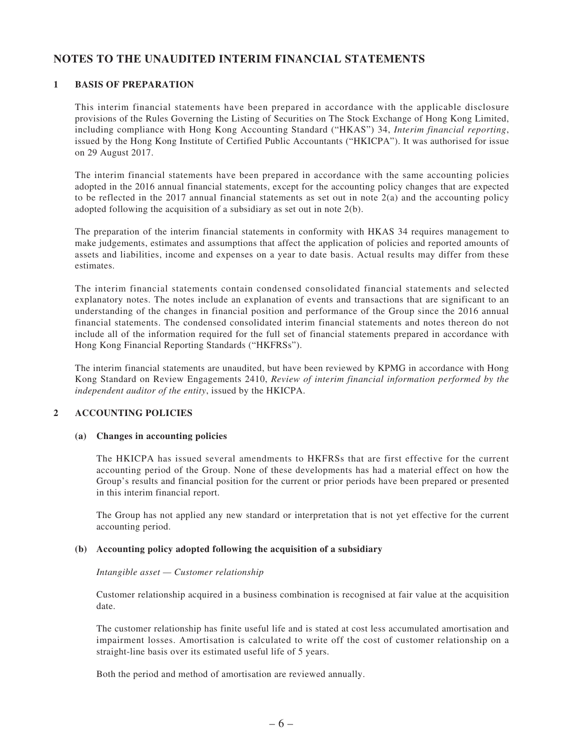### **NOTES TO THE UNAUDITED INTERIM FINANCIAL STATEMENTS**

#### **1 BASIS OF PREPARATION**

This interim financial statements have been prepared in accordance with the applicable disclosure provisions of the Rules Governing the Listing of Securities on The Stock Exchange of Hong Kong Limited, including compliance with Hong Kong Accounting Standard ("HKAS") 34, *Interim financial reporting*, issued by the Hong Kong Institute of Certified Public Accountants ("HKICPA"). It was authorised for issue on 29 August 2017.

The interim financial statements have been prepared in accordance with the same accounting policies adopted in the 2016 annual financial statements, except for the accounting policy changes that are expected to be reflected in the 2017 annual financial statements as set out in note  $2(a)$  and the accounting policy adopted following the acquisition of a subsidiary as set out in note 2(b).

The preparation of the interim financial statements in conformity with HKAS 34 requires management to make judgements, estimates and assumptions that affect the application of policies and reported amounts of assets and liabilities, income and expenses on a year to date basis. Actual results may differ from these estimates.

The interim financial statements contain condensed consolidated financial statements and selected explanatory notes. The notes include an explanation of events and transactions that are significant to an understanding of the changes in financial position and performance of the Group since the 2016 annual financial statements. The condensed consolidated interim financial statements and notes thereon do not include all of the information required for the full set of financial statements prepared in accordance with Hong Kong Financial Reporting Standards ("HKFRSs").

The interim financial statements are unaudited, but have been reviewed by KPMG in accordance with Hong Kong Standard on Review Engagements 2410, *Review of interim financial information performed by the independent auditor of the entity*, issued by the HKICPA.

#### **2 ACCOUNTING POLICIES**

#### **(a) Changes in accounting policies**

The HKICPA has issued several amendments to HKFRSs that are first effective for the current accounting period of the Group. None of these developments has had a material effect on how the Group's results and financial position for the current or prior periods have been prepared or presented in this interim financial report.

The Group has not applied any new standard or interpretation that is not yet effective for the current accounting period.

#### **(b) Accounting policy adopted following the acquisition of a subsidiary**

#### *Intangible asset — Customer relationship*

Customer relationship acquired in a business combination is recognised at fair value at the acquisition date.

The customer relationship has finite useful life and is stated at cost less accumulated amortisation and impairment losses. Amortisation is calculated to write off the cost of customer relationship on a straight-line basis over its estimated useful life of 5 years.

Both the period and method of amortisation are reviewed annually.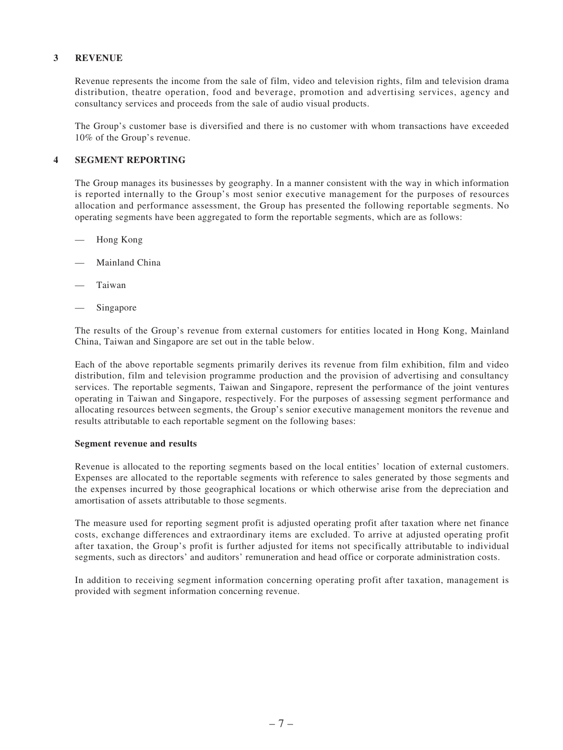#### **3 REVENUE**

Revenue represents the income from the sale of film, video and television rights, film and television drama distribution, theatre operation, food and beverage, promotion and advertising services, agency and consultancy services and proceeds from the sale of audio visual products.

The Group's customer base is diversified and there is no customer with whom transactions have exceeded 10% of the Group's revenue.

#### **4 SEGMENT REPORTING**

The Group manages its businesses by geography. In a manner consistent with the way in which information is reported internally to the Group's most senior executive management for the purposes of resources allocation and performance assessment, the Group has presented the following reportable segments. No operating segments have been aggregated to form the reportable segments, which are as follows:

- Hong Kong
- Mainland China
- **Taiwan**
- Singapore

The results of the Group's revenue from external customers for entities located in Hong Kong, Mainland China, Taiwan and Singapore are set out in the table below.

Each of the above reportable segments primarily derives its revenue from film exhibition, film and video distribution, film and television programme production and the provision of advertising and consultancy services. The reportable segments, Taiwan and Singapore, represent the performance of the joint ventures operating in Taiwan and Singapore, respectively. For the purposes of assessing segment performance and allocating resources between segments, the Group's senior executive management monitors the revenue and results attributable to each reportable segment on the following bases:

#### **Segment revenue and results**

Revenue is allocated to the reporting segments based on the local entities' location of external customers. Expenses are allocated to the reportable segments with reference to sales generated by those segments and the expenses incurred by those geographical locations or which otherwise arise from the depreciation and amortisation of assets attributable to those segments.

The measure used for reporting segment profit is adjusted operating profit after taxation where net finance costs, exchange differences and extraordinary items are excluded. To arrive at adjusted operating profit after taxation, the Group's profit is further adjusted for items not specifically attributable to individual segments, such as directors' and auditors' remuneration and head office or corporate administration costs.

In addition to receiving segment information concerning operating profit after taxation, management is provided with segment information concerning revenue.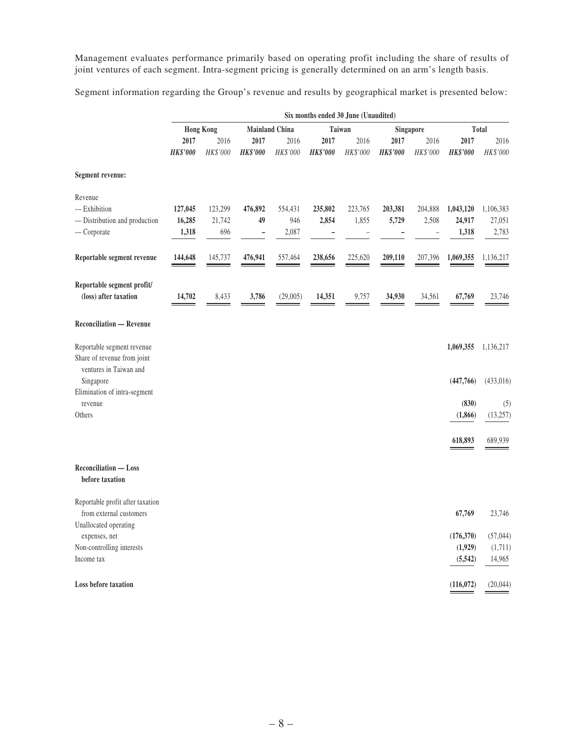Management evaluates performance primarily based on operating profit including the share of results of joint ventures of each segment. Intra-segment pricing is generally determined on an arm's length basis.

Segment information regarding the Group's revenue and results by geographical market is presented below:

|                                                                                      | Six months ended 30 June (Unaudited) |                          |                           |                         |                  |                  |                         |                                              |                              |                              |
|--------------------------------------------------------------------------------------|--------------------------------------|--------------------------|---------------------------|-------------------------|------------------|------------------|-------------------------|----------------------------------------------|------------------------------|------------------------------|
|                                                                                      |                                      | <b>Hong Kong</b>         | <b>Mainland China</b>     |                         | Taiwan           |                  |                         | Singapore                                    |                              | Total                        |
|                                                                                      | 2017<br><b>HK\$'000</b>              | 2016<br>HK\$'000         | 2017<br><b>HK\$'000</b>   | 2016<br>HK\$'000        | 2017<br>HK\$'000 | 2016<br>HK\$'000 | 2017<br><b>HK\$'000</b> | 2016<br>HK\$'000                             | 2017<br>HK\$'000             | 2016<br>HK\$'000             |
| <b>Segment revenue:</b>                                                              |                                      |                          |                           |                         |                  |                  |                         |                                              |                              |                              |
| Revenue<br>$-$ Exhibition<br>- Distribution and production<br>$-$ Corporate          | 127,045<br>16,285<br>1,318           | 123,299<br>21,742<br>696 | 476,892<br>49<br><b>-</b> | 554,431<br>946<br>2,087 | 235,802<br>2,854 | 223,765<br>1,855 | 203,381<br>5,729        | 204,888<br>2,508<br>$\overline{\phantom{0}}$ | 1,043,120<br>24,917<br>1,318 | 1,106,383<br>27,051<br>2,783 |
| Reportable segment revenue                                                           | 144,648                              | 145,737<br>-             | 476,941                   | 557,464                 | 238,656          | 225,620          | 209,110                 | 207,396                                      | 1,069,355                    | 1,136,217                    |
| Reportable segment profit/<br>(loss) after taxation                                  | 14,702                               | 8,433                    | 3,786                     | (29,005)                | 14,351           | 9,757            | 34,930                  | 34,561                                       | 67,769                       | 23,746                       |
| <b>Reconciliation — Revenue</b>                                                      |                                      |                          |                           |                         |                  |                  |                         |                                              |                              |                              |
| Reportable segment revenue<br>Share of revenue from joint<br>ventures in Taiwan and  |                                      |                          |                           |                         |                  |                  |                         |                                              | 1,069,355                    | 1,136,217                    |
| Singapore<br>Elimination of intra-segment                                            |                                      |                          |                           |                         |                  |                  |                         |                                              | (447,766)                    | (433,016)                    |
| revenue<br>Others                                                                    |                                      |                          |                           |                         |                  |                  |                         |                                              | (830)<br>(1,866)             | (5)<br>(13,257)              |
|                                                                                      |                                      |                          |                           |                         |                  |                  |                         |                                              | 618,893                      | 689,939                      |
| Reconciliation - Loss<br>before taxation                                             |                                      |                          |                           |                         |                  |                  |                         |                                              |                              |                              |
| Reportable profit after taxation<br>from external customers<br>Unallocated operating |                                      |                          |                           |                         |                  |                  |                         |                                              | 67,769                       | 23,746                       |
| expenses, net                                                                        |                                      |                          |                           |                         |                  |                  |                         |                                              | (176,370)                    | (57, 044)                    |
| Non-controlling interests<br>Income tax                                              |                                      |                          |                           |                         |                  |                  |                         |                                              | (1,929)<br>(5, 542)          | (1,711)<br>14,965            |
| Loss before taxation                                                                 |                                      |                          |                           |                         |                  |                  |                         |                                              | (116,072)                    | (20,044)                     |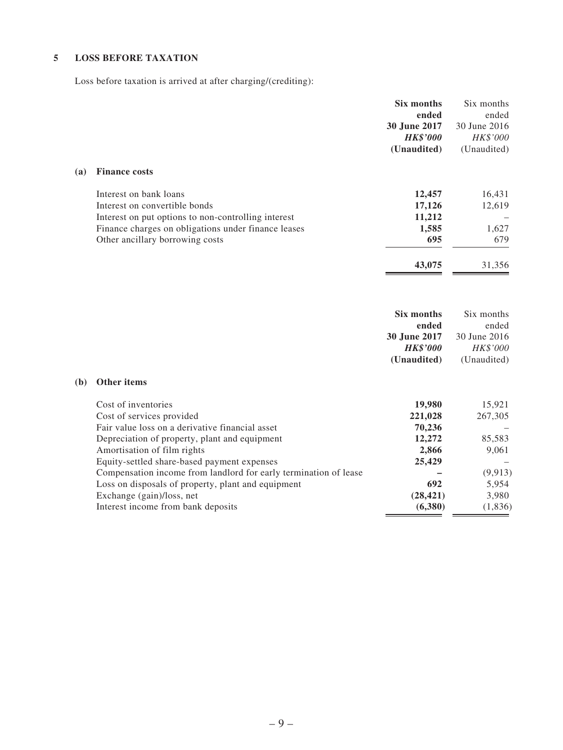### **5 LOSS BEFORE TAXATION**

Loss before taxation is arrived at after charging/(crediting):

|     |                                                                                                                                                                       | Six months<br>ended<br>30 June 2017<br><b>HK\$'000</b><br>(Unaudited) | Six months<br>ended<br>30 June 2016<br>HK\$'000<br>(Unaudited) |
|-----|-----------------------------------------------------------------------------------------------------------------------------------------------------------------------|-----------------------------------------------------------------------|----------------------------------------------------------------|
| (a) | <b>Finance costs</b>                                                                                                                                                  |                                                                       |                                                                |
|     | Interest on bank loans<br>Interest on convertible bonds<br>Interest on put options to non-controlling interest                                                        | 12,457<br>17,126<br>11,212                                            | 16,431<br>12,619                                               |
|     | Finance charges on obligations under finance leases<br>Other ancillary borrowing costs                                                                                | 1,585<br>695                                                          | 1,627<br>679                                                   |
|     |                                                                                                                                                                       | 43,075                                                                | 31,356                                                         |
|     |                                                                                                                                                                       | Six months<br>ended                                                   | Six months<br>ended                                            |
|     |                                                                                                                                                                       | 30 June 2017<br><b>HK\$'000</b>                                       | 30 June 2016<br>HK\$'000                                       |
| (b) | Other items                                                                                                                                                           | (Unaudited)                                                           | (Unaudited)                                                    |
|     | Cost of inventories<br>Cost of services provided<br>Fair value loss on a derivative financial asset                                                                   | 19,980<br>221,028<br>70,236                                           | 15,921<br>267,305                                              |
|     | Depreciation of property, plant and equipment<br>Amortisation of film rights                                                                                          | 12,272<br>2,866                                                       | 85,583<br>9,061                                                |
|     | Equity-settled share-based payment expenses<br>Compensation income from landlord for early termination of lease<br>Loss on disposals of property, plant and equipment | 25,429<br>692                                                         | (9, 913)<br>5,954                                              |
|     | Exchange (gain)/loss, net<br>Interest income from bank deposits                                                                                                       | (28, 421)<br>(6, 380)                                                 | 3,980<br>(1, 836)                                              |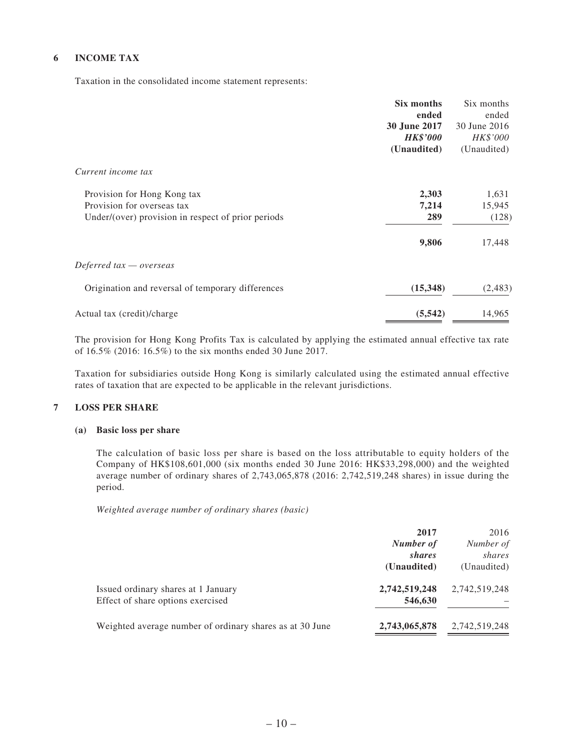#### **6 INCOME TAX**

Taxation in the consolidated income statement represents:

|                                                    | Six months          | Six months   |
|----------------------------------------------------|---------------------|--------------|
|                                                    | ended               | ended        |
|                                                    | <b>30 June 2017</b> | 30 June 2016 |
|                                                    | <b>HK\$'000</b>     | HK\$'000     |
|                                                    | (Unaudited)         | (Unaudited)  |
| Current income tax                                 |                     |              |
| Provision for Hong Kong tax                        | 2,303               | 1,631        |
| Provision for overseas tax                         | 7,214               | 15,945       |
| Under/(over) provision in respect of prior periods | 289                 | (128)        |
|                                                    | 9,806               | 17,448       |
| Deferred tax — overseas                            |                     |              |
| Origination and reversal of temporary differences  | (15,348)            | (2,483)      |
| Actual tax (credit)/charge                         | (5, 542)            | 14,965       |

The provision for Hong Kong Profits Tax is calculated by applying the estimated annual effective tax rate of 16.5% (2016: 16.5%) to the six months ended 30 June 2017.

Taxation for subsidiaries outside Hong Kong is similarly calculated using the estimated annual effective rates of taxation that are expected to be applicable in the relevant jurisdictions.

#### **7 LOSS PER SHARE**

#### **(a) Basic loss per share**

The calculation of basic loss per share is based on the loss attributable to equity holders of the Company of HK\$108,601,000 (six months ended 30 June 2016: HK\$33,298,000) and the weighted average number of ordinary shares of 2,743,065,878 (2016: 2,742,519,248 shares) in issue during the period.

*Weighted average number of ordinary shares (basic)*

|                                                          | 2017          | 2016          |
|----------------------------------------------------------|---------------|---------------|
|                                                          | Number of     | Number of     |
|                                                          | shares        | shares        |
|                                                          | (Unaudited)   | (Unaudited)   |
| Issued ordinary shares at 1 January                      | 2,742,519,248 | 2,742,519,248 |
| Effect of share options exercised                        | 546,630       |               |
| Weighted average number of ordinary shares as at 30 June | 2,743,065,878 | 2,742,519,248 |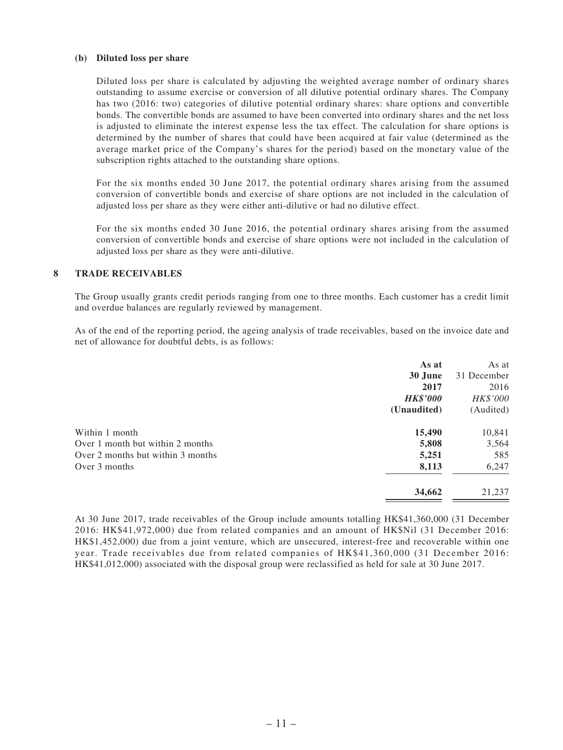#### **(b) Diluted loss per share**

Diluted loss per share is calculated by adjusting the weighted average number of ordinary shares outstanding to assume exercise or conversion of all dilutive potential ordinary shares. The Company has two (2016: two) categories of dilutive potential ordinary shares: share options and convertible bonds. The convertible bonds are assumed to have been converted into ordinary shares and the net loss is adjusted to eliminate the interest expense less the tax effect. The calculation for share options is determined by the number of shares that could have been acquired at fair value (determined as the average market price of the Company's shares for the period) based on the monetary value of the subscription rights attached to the outstanding share options.

For the six months ended 30 June 2017, the potential ordinary shares arising from the assumed conversion of convertible bonds and exercise of share options are not included in the calculation of adjusted loss per share as they were either anti-dilutive or had no dilutive effect.

For the six months ended 30 June 2016, the potential ordinary shares arising from the assumed conversion of convertible bonds and exercise of share options were not included in the calculation of adjusted loss per share as they were anti-dilutive.

#### **8 TRADE RECEIVABLES**

The Group usually grants credit periods ranging from one to three months. Each customer has a credit limit and overdue balances are regularly reviewed by management.

As of the end of the reporting period, the ageing analysis of trade receivables, based on the invoice date and net of allowance for doubtful debts, is as follows:

|                                   | As at           | As at       |
|-----------------------------------|-----------------|-------------|
|                                   | 30 June         | 31 December |
|                                   | 2017            | 2016        |
|                                   | <b>HK\$'000</b> | HK\$'000    |
|                                   | (Unaudited)     | (Audited)   |
| Within 1 month                    | 15,490          | 10,841      |
| Over 1 month but within 2 months  | 5,808           | 3,564       |
| Over 2 months but within 3 months | 5,251           | 585         |
| Over 3 months                     | 8,113           | 6,247       |
|                                   | 34,662          | 21,237      |
|                                   |                 |             |

At 30 June 2017, trade receivables of the Group include amounts totalling HK\$41,360,000 (31 December 2016: HK\$41,972,000) due from related companies and an amount of HK\$Nil (31 December 2016: HK\$1,452,000) due from a joint venture, which are unsecured, interest-free and recoverable within one year. Trade receivables due from related companies of HK\$41,360,000 (31 December 2016: HK\$41,012,000) associated with the disposal group were reclassified as held for sale at 30 June 2017.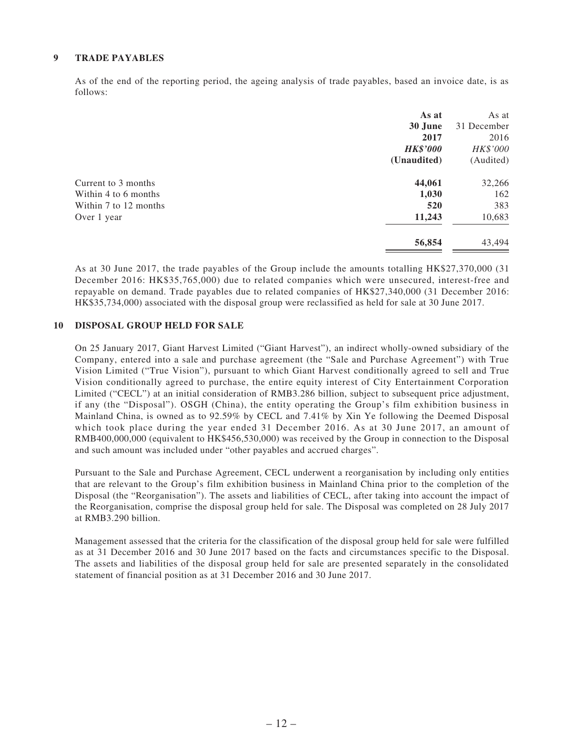#### **9 TRADE PAYABLES**

As of the end of the reporting period, the ageing analysis of trade payables, based an invoice date, is as follows:

|                       | As at           | As at       |
|-----------------------|-----------------|-------------|
|                       | 30 June         | 31 December |
|                       | 2017            | 2016        |
|                       | <b>HK\$'000</b> | HK\$'000    |
|                       | (Unaudited)     | (Audited)   |
| Current to 3 months   | 44,061          | 32,266      |
| Within 4 to 6 months  | 1,030           | 162         |
| Within 7 to 12 months | 520             | 383         |
| Over 1 year           | 11,243          | 10,683      |
|                       | 56,854          | 43,494      |

As at 30 June 2017, the trade payables of the Group include the amounts totalling HK\$27,370,000 (31 December 2016: HK\$35,765,000) due to related companies which were unsecured, interest-free and repayable on demand. Trade payables due to related companies of HK\$27,340,000 (31 December 2016: HK\$35,734,000) associated with the disposal group were reclassified as held for sale at 30 June 2017.

#### **10 DISPOSAL GROUP HELD FOR SALE**

On 25 January 2017, Giant Harvest Limited ("Giant Harvest"), an indirect wholly-owned subsidiary of the Company, entered into a sale and purchase agreement (the "Sale and Purchase Agreement") with True Vision Limited ("True Vision"), pursuant to which Giant Harvest conditionally agreed to sell and True Vision conditionally agreed to purchase, the entire equity interest of City Entertainment Corporation Limited ("CECL") at an initial consideration of RMB3.286 billion, subject to subsequent price adjustment, if any (the "Disposal"). OSGH (China), the entity operating the Group's film exhibition business in Mainland China, is owned as to 92.59% by CECL and 7.41% by Xin Ye following the Deemed Disposal which took place during the year ended 31 December 2016. As at 30 June 2017, an amount of RMB400,000,000 (equivalent to HK\$456,530,000) was received by the Group in connection to the Disposal and such amount was included under "other payables and accrued charges".

Pursuant to the Sale and Purchase Agreement, CECL underwent a reorganisation by including only entities that are relevant to the Group's film exhibition business in Mainland China prior to the completion of the Disposal (the "Reorganisation"). The assets and liabilities of CECL, after taking into account the impact of the Reorganisation, comprise the disposal group held for sale. The Disposal was completed on 28 July 2017 at RMB3.290 billion.

Management assessed that the criteria for the classification of the disposal group held for sale were fulfilled as at 31 December 2016 and 30 June 2017 based on the facts and circumstances specific to the Disposal. The assets and liabilities of the disposal group held for sale are presented separately in the consolidated statement of financial position as at 31 December 2016 and 30 June 2017.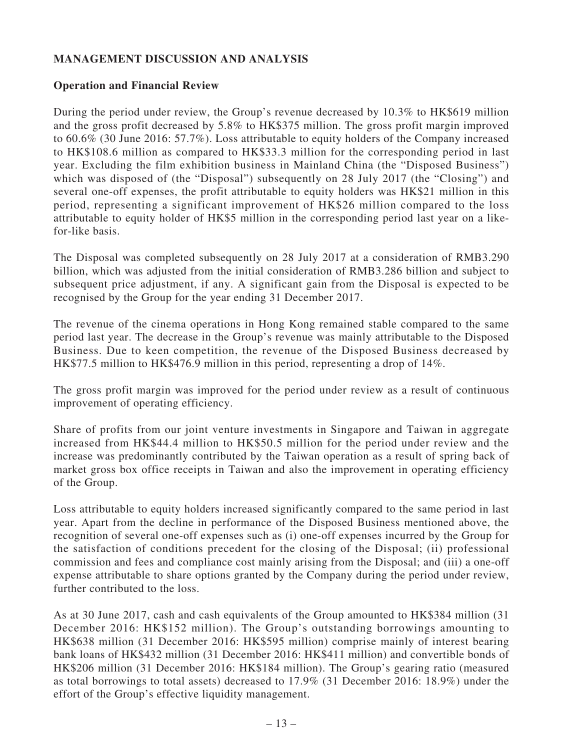# **MANAGEMENT DISCUSSION AND ANALYSIS**

### **Operation and Financial Review**

During the period under review, the Group's revenue decreased by 10.3% to HK\$619 million and the gross profit decreased by 5.8% to HK\$375 million. The gross profit margin improved to 60.6% (30 June 2016: 57.7%). Loss attributable to equity holders of the Company increased to HK\$108.6 million as compared to HK\$33.3 million for the corresponding period in last year. Excluding the film exhibition business in Mainland China (the "Disposed Business") which was disposed of (the "Disposal") subsequently on 28 July 2017 (the "Closing") and several one-off expenses, the profit attributable to equity holders was HK\$21 million in this period, representing a significant improvement of HK\$26 million compared to the loss attributable to equity holder of HK\$5 million in the corresponding period last year on a likefor-like basis.

The Disposal was completed subsequently on 28 July 2017 at a consideration of RMB3.290 billion, which was adjusted from the initial consideration of RMB3.286 billion and subject to subsequent price adjustment, if any. A significant gain from the Disposal is expected to be recognised by the Group for the year ending 31 December 2017.

The revenue of the cinema operations in Hong Kong remained stable compared to the same period last year. The decrease in the Group's revenue was mainly attributable to the Disposed Business. Due to keen competition, the revenue of the Disposed Business decreased by HK\$77.5 million to HK\$476.9 million in this period, representing a drop of 14%.

The gross profit margin was improved for the period under review as a result of continuous improvement of operating efficiency.

Share of profits from our joint venture investments in Singapore and Taiwan in aggregate increased from HK\$44.4 million to HK\$50.5 million for the period under review and the increase was predominantly contributed by the Taiwan operation as a result of spring back of market gross box office receipts in Taiwan and also the improvement in operating efficiency of the Group.

Loss attributable to equity holders increased significantly compared to the same period in last year. Apart from the decline in performance of the Disposed Business mentioned above, the recognition of several one-off expenses such as (i) one-off expenses incurred by the Group for the satisfaction of conditions precedent for the closing of the Disposal; (ii) professional commission and fees and compliance cost mainly arising from the Disposal; and (iii) a one-off expense attributable to share options granted by the Company during the period under review, further contributed to the loss.

As at 30 June 2017, cash and cash equivalents of the Group amounted to HK\$384 million (31 December 2016: HK\$152 million). The Group's outstanding borrowings amounting to HK\$638 million (31 December 2016: HK\$595 million) comprise mainly of interest bearing bank loans of HK\$432 million (31 December 2016: HK\$411 million) and convertible bonds of HK\$206 million (31 December 2016: HK\$184 million). The Group's gearing ratio (measured as total borrowings to total assets) decreased to 17.9% (31 December 2016: 18.9%) under the effort of the Group's effective liquidity management.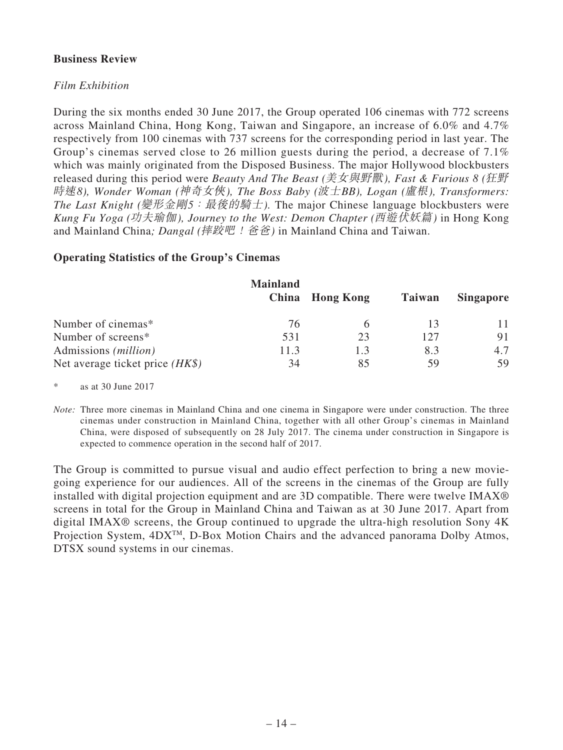### **Business Review**

### *Film Exhibition*

During the six months ended 30 June 2017, the Group operated 106 cinemas with 772 screens across Mainland China, Hong Kong, Taiwan and Singapore, an increase of 6.0% and 4.7% respectively from 100 cinemas with 737 screens for the corresponding period in last year. The Group's cinemas served close to 26 million guests during the period, a decrease of 7.1% which was mainly originated from the Disposed Business. The major Hollywood blockbusters released during this period were *Beauty And The Beast (*美女與野獸*), Fast & Furious 8 (*狂野 時速*8), Wonder Woman (*神奇女俠*), The Boss Baby (*波士*BB), Logan (*盧根*), Transformers: The Last Knight (*變形金剛*5*:最後的騎士*).* The major Chinese language blockbusters were *Kung Fu Yoga (*功夫瑜伽*), Journey to the West: Demon Chapter (*西遊伏妖篇*)* in Hong Kong and Mainland China*; Dangal (*摔跤吧!爸爸*)* in Mainland China and Taiwan.

#### **Operating Statistics of the Group's Cinemas**

|                                   | <b>Mainland</b> | China Hong Kong | Taiwan | <b>Singapore</b> |
|-----------------------------------|-----------------|-----------------|--------|------------------|
| Number of cinemas*                | 76              |                 |        |                  |
| Number of screens*                | 531             | 23              | 127    | 91               |
| Admissions ( <i>million</i> )     | 11.3            | 1.3             | 8.3    | 4.7              |
| Net average ticket price $(HK\$ ) | 34              | 85              | 59     | 59               |

\* as at 30 June 2017

*Note:* Three more cinemas in Mainland China and one cinema in Singapore were under construction. The three cinemas under construction in Mainland China, together with all other Group's cinemas in Mainland China, were disposed of subsequently on 28 July 2017. The cinema under construction in Singapore is expected to commence operation in the second half of 2017.

The Group is committed to pursue visual and audio effect perfection to bring a new moviegoing experience for our audiences. All of the screens in the cinemas of the Group are fully installed with digital projection equipment and are 3D compatible. There were twelve IMAX® screens in total for the Group in Mainland China and Taiwan as at 30 June 2017. Apart from digital IMAX® screens, the Group continued to upgrade the ultra-high resolution Sony 4K Projection System, 4DX<sup>™</sup>, D-Box Motion Chairs and the advanced panorama Dolby Atmos, DTSX sound systems in our cinemas.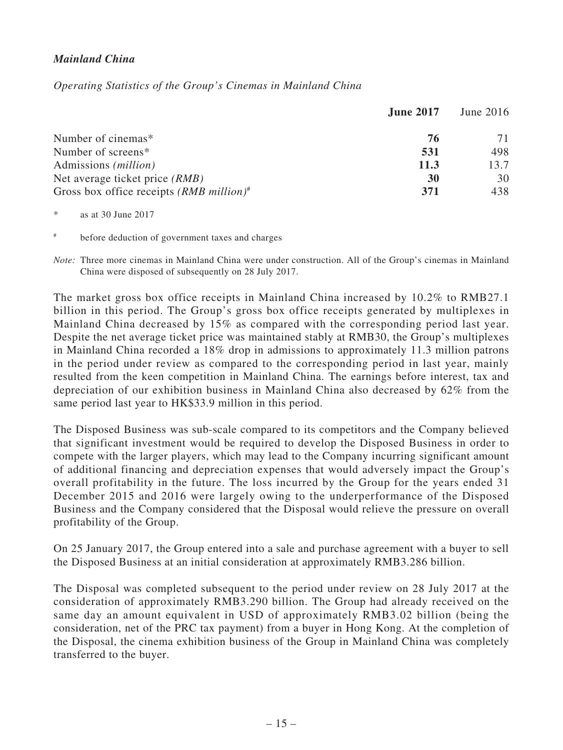# *Mainland China*

*Operating Statistics of the Group's Cinemas in Mainland China*

|                                                        | <b>June 2017</b> | June $2016$ |
|--------------------------------------------------------|------------------|-------------|
| Number of cinemas*                                     | 76               | 71          |
| Number of screens*                                     | 531              | 498         |
| Admissions ( <i>million</i> )                          | 11.3             | 13.7        |
| Net average ticket price <i>(RMB)</i>                  | 30               | 30          |
| Gross box office receipts $(RMB$ million) <sup>#</sup> | 371              | 438         |

<sup>\*</sup> as at 30 June 2017

before deduction of government taxes and charges

*Note:* Three more cinemas in Mainland China were under construction. All of the Group's cinemas in Mainland China were disposed of subsequently on 28 July 2017.

The market gross box office receipts in Mainland China increased by 10.2% to RMB27.1 billion in this period. The Group's gross box office receipts generated by multiplexes in Mainland China decreased by 15% as compared with the corresponding period last year. Despite the net average ticket price was maintained stably at RMB30, the Group's multiplexes in Mainland China recorded a 18% drop in admissions to approximately 11.3 million patrons in the period under review as compared to the corresponding period in last year, mainly resulted from the keen competition in Mainland China. The earnings before interest, tax and depreciation of our exhibition business in Mainland China also decreased by 62% from the same period last year to HK\$33.9 million in this period.

The Disposed Business was sub-scale compared to its competitors and the Company believed that significant investment would be required to develop the Disposed Business in order to compete with the larger players, which may lead to the Company incurring significant amount of additional financing and depreciation expenses that would adversely impact the Group's overall profitability in the future. The loss incurred by the Group for the years ended 31 December 2015 and 2016 were largely owing to the underperformance of the Disposed Business and the Company considered that the Disposal would relieve the pressure on overall profitability of the Group.

On 25 January 2017, the Group entered into a sale and purchase agreement with a buyer to sell the Disposed Business at an initial consideration at approximately RMB3.286 billion.

The Disposal was completed subsequent to the period under review on 28 July 2017 at the consideration of approximately RMB3.290 billion. The Group had already received on the same day an amount equivalent in USD of approximately RMB3.02 billion (being the consideration, net of the PRC tax payment) from a buyer in Hong Kong. At the completion of the Disposal, the cinema exhibition business of the Group in Mainland China was completely transferred to the buyer.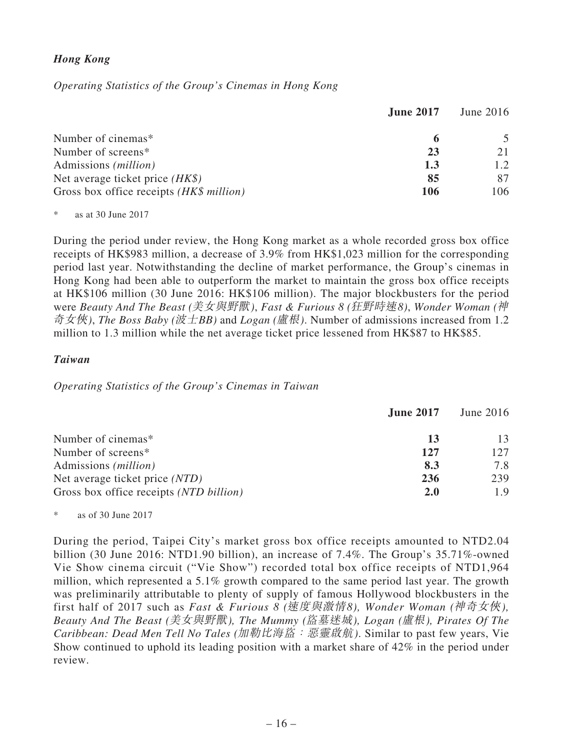# *Hong Kong*

*Operating Statistics of the Group's Cinemas in Hong Kong*

|                                          | <b>June 2017</b> | June $2016$ |
|------------------------------------------|------------------|-------------|
| Number of cinemas*                       | 6                |             |
| Number of screens*                       | 23               | 21          |
| Admissions ( <i>million</i> )            | 1.3              | 1.2         |
| Net average ticket price $(HK\$ )        | 85               | 87          |
| Gross box office receipts (HK\$ million) | 106              | 106         |

 $*$  as at 30 June 2017

During the period under review, the Hong Kong market as a whole recorded gross box office receipts of HK\$983 million, a decrease of 3.9% from HK\$1,023 million for the corresponding period last year. Notwithstanding the decline of market performance, the Group's cinemas in Hong Kong had been able to outperform the market to maintain the gross box office receipts at HK\$106 million (30 June 2016: HK\$106 million). The major blockbusters for the period were *Beauty And The Beast (*美女與野獸*)*, *Fast & Furious 8 (*狂野時速*8)*, *Wonder Woman (*神 奇女俠*)*, *The Boss Baby (*波士*BB)* and *Logan (*盧根*)*. Number of admissions increased from 1.2 million to 1.3 million while the net average ticket price lessened from HK\$87 to HK\$85.

#### *Taiwan*

*Operating Statistics of the Group's Cinemas in Taiwan*

|                                         | <b>June 2017</b> | <b>June 2016</b> |
|-----------------------------------------|------------------|------------------|
| Number of cinemas*                      | 13               | 13               |
| Number of screens*                      | 127              | 127              |
| Admissions ( <i>million</i> )           | 8.3              | 7.8              |
| Net average ticket price (NTD)          | 236              | 239              |
| Gross box office receipts (NTD billion) | <b>2.0</b>       | 1.9              |

as of 30 June  $2017$ 

During the period, Taipei City's market gross box office receipts amounted to NTD2.04 billion (30 June 2016: NTD1.90 billion), an increase of 7.4%. The Group's 35.71%-owned Vie Show cinema circuit ("Vie Show") recorded total box office receipts of NTD1,964 million, which represented a 5.1% growth compared to the same period last year. The growth was preliminarily attributable to plenty of supply of famous Hollywood blockbusters in the first half of 2017 such as *Fast & Furious 8 (*速度與激情*8), Wonder Woman (*神奇女俠*), Beauty And The Beast (*美女與野獸*), The Mummy (*盜墓迷城*), Logan (*盧根*), Pirates Of The Caribbean: Dead Men Tell No Tales (*加勒比海盜:惡靈啟航*)*. Similar to past few years, Vie Show continued to uphold its leading position with a market share of 42% in the period under review.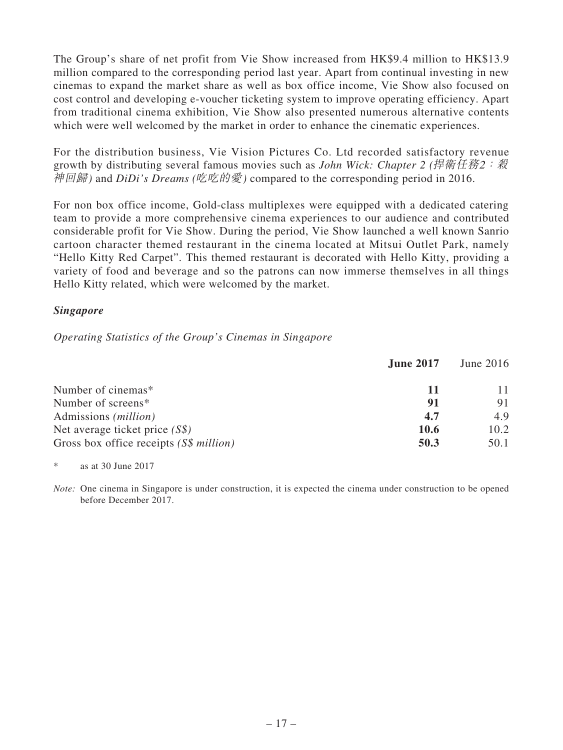The Group's share of net profit from Vie Show increased from HK\$9.4 million to HK\$13.9 million compared to the corresponding period last year. Apart from continual investing in new cinemas to expand the market share as well as box office income, Vie Show also focused on cost control and developing e-voucher ticketing system to improve operating efficiency. Apart from traditional cinema exhibition, Vie Show also presented numerous alternative contents which were well welcomed by the market in order to enhance the cinematic experiences.

For the distribution business, Vie Vision Pictures Co. Ltd recorded satisfactory revenue growth by distributing several famous movies such as *John Wick: Chapter 2 (*捍衛任務2:殺 神回歸*)* and *DiDi's Dreams (*吃吃的愛*)* compared to the corresponding period in 2016.

For non box office income, Gold-class multiplexes were equipped with a dedicated catering team to provide a more comprehensive cinema experiences to our audience and contributed considerable profit for Vie Show. During the period, Vie Show launched a well known Sanrio cartoon character themed restaurant in the cinema located at Mitsui Outlet Park, namely "Hello Kitty Red Carpet". This themed restaurant is decorated with Hello Kitty, providing a variety of food and beverage and so the patrons can now immerse themselves in all things Hello Kitty related, which were welcomed by the market.

### *Singapore*

### *Operating Statistics of the Group's Cinemas in Singapore*

|                                         | <b>June 2017</b> | June $2016$ |
|-----------------------------------------|------------------|-------------|
| Number of cinemas*                      | 11               | 11          |
| Number of screens*                      | 91               | 91          |
| Admissions ( <i>million</i> )           | 4.7              | 4.9         |
| Net average ticket price $(S\$ )        | <b>10.6</b>      | 10.2        |
| Gross box office receipts (S\$ million) | 50.3             | 50.1        |

\* as at 30 June 2017

*Note:* One cinema in Singapore is under construction, it is expected the cinema under construction to be opened before December 2017.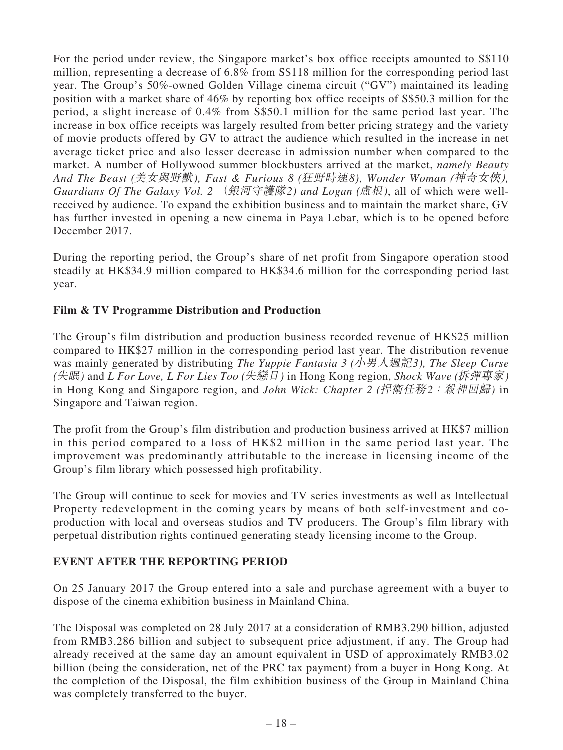For the period under review, the Singapore market's box office receipts amounted to S\$110 million, representing a decrease of 6.8% from S\$118 million for the corresponding period last year. The Group's 50%-owned Golden Village cinema circuit ("GV") maintained its leading position with a market share of 46% by reporting box office receipts of S\$50.3 million for the period, a slight increase of 0.4% from S\$50.1 million for the same period last year. The increase in box office receipts was largely resulted from better pricing strategy and the variety of movie products offered by GV to attract the audience which resulted in the increase in net average ticket price and also lesser decrease in admission number when compared to the market. A number of Hollywood summer blockbusters arrived at the market, *namely Beauty And The Beast (*美女與野獸*), Fast & Furious 8 (*狂野時速*8), Wonder Woman (*神奇女俠*), Guardians Of The Galaxy Vol. 2* (銀河守護隊*2) and Logan (*盧根*)*, all of which were wellreceived by audience. To expand the exhibition business and to maintain the market share, GV has further invested in opening a new cinema in Paya Lebar, which is to be opened before December 2017.

During the reporting period, the Group's share of net profit from Singapore operation stood steadily at HK\$34.9 million compared to HK\$34.6 million for the corresponding period last year.

# **Film & TV Programme Distribution and Production**

The Group's film distribution and production business recorded revenue of HK\$25 million compared to HK\$27 million in the corresponding period last year. The distribution revenue was mainly generated by distributing *The Yuppie Fantasia 3 (*小男人週記*3), The Sleep Curse (*失眠*)* and *L For Love, L For Lies Too (*失戀日*)* in Hong Kong region, *Shock Wave (*拆彈專家*)* in Hong Kong and Singapore region, and *John Wick: Chapter 2 (*捍衛任務*2*:殺神回歸*)* in Singapore and Taiwan region.

The profit from the Group's film distribution and production business arrived at HK\$7 million in this period compared to a loss of HK\$2 million in the same period last year. The improvement was predominantly attributable to the increase in licensing income of the Group's film library which possessed high profitability.

The Group will continue to seek for movies and TV series investments as well as Intellectual Property redevelopment in the coming years by means of both self-investment and coproduction with local and overseas studios and TV producers. The Group's film library with perpetual distribution rights continued generating steady licensing income to the Group.

### **EVENT AFTER THE REPORTING PERIOD**

On 25 January 2017 the Group entered into a sale and purchase agreement with a buyer to dispose of the cinema exhibition business in Mainland China.

The Disposal was completed on 28 July 2017 at a consideration of RMB3.290 billion, adjusted from RMB3.286 billion and subject to subsequent price adjustment, if any. The Group had already received at the same day an amount equivalent in USD of approximately RMB3.02 billion (being the consideration, net of the PRC tax payment) from a buyer in Hong Kong. At the completion of the Disposal, the film exhibition business of the Group in Mainland China was completely transferred to the buyer.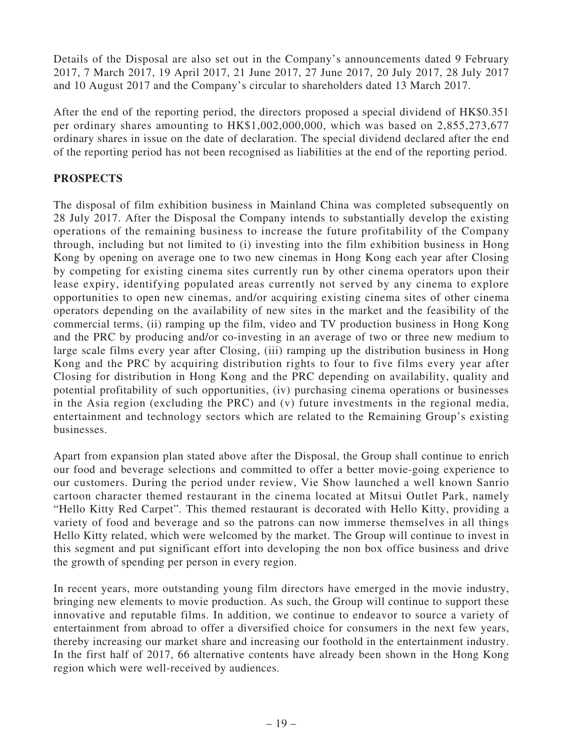Details of the Disposal are also set out in the Company's announcements dated 9 February 2017, 7 March 2017, 19 April 2017, 21 June 2017, 27 June 2017, 20 July 2017, 28 July 2017 and 10 August 2017 and the Company's circular to shareholders dated 13 March 2017.

After the end of the reporting period, the directors proposed a special dividend of HK\$0.351 per ordinary shares amounting to HK\$1,002,000,000, which was based on 2,855,273,677 ordinary shares in issue on the date of declaration. The special dividend declared after the end of the reporting period has not been recognised as liabilities at the end of the reporting period.

# **PROSPECTS**

The disposal of film exhibition business in Mainland China was completed subsequently on 28 July 2017. After the Disposal the Company intends to substantially develop the existing operations of the remaining business to increase the future profitability of the Company through, including but not limited to (i) investing into the film exhibition business in Hong Kong by opening on average one to two new cinemas in Hong Kong each year after Closing by competing for existing cinema sites currently run by other cinema operators upon their lease expiry, identifying populated areas currently not served by any cinema to explore opportunities to open new cinemas, and/or acquiring existing cinema sites of other cinema operators depending on the availability of new sites in the market and the feasibility of the commercial terms, (ii) ramping up the film, video and TV production business in Hong Kong and the PRC by producing and/or co-investing in an average of two or three new medium to large scale films every year after Closing, (iii) ramping up the distribution business in Hong Kong and the PRC by acquiring distribution rights to four to five films every year after Closing for distribution in Hong Kong and the PRC depending on availability, quality and potential profitability of such opportunities, (iv) purchasing cinema operations or businesses in the Asia region (excluding the PRC) and (v) future investments in the regional media, entertainment and technology sectors which are related to the Remaining Group's existing businesses.

Apart from expansion plan stated above after the Disposal, the Group shall continue to enrich our food and beverage selections and committed to offer a better movie-going experience to our customers. During the period under review, Vie Show launched a well known Sanrio cartoon character themed restaurant in the cinema located at Mitsui Outlet Park, namely "Hello Kitty Red Carpet". This themed restaurant is decorated with Hello Kitty, providing a variety of food and beverage and so the patrons can now immerse themselves in all things Hello Kitty related, which were welcomed by the market. The Group will continue to invest in this segment and put significant effort into developing the non box office business and drive the growth of spending per person in every region.

In recent years, more outstanding young film directors have emerged in the movie industry, bringing new elements to movie production. As such, the Group will continue to support these innovative and reputable films. In addition, we continue to endeavor to source a variety of entertainment from abroad to offer a diversified choice for consumers in the next few years, thereby increasing our market share and increasing our foothold in the entertainment industry. In the first half of 2017, 66 alternative contents have already been shown in the Hong Kong region which were well-received by audiences.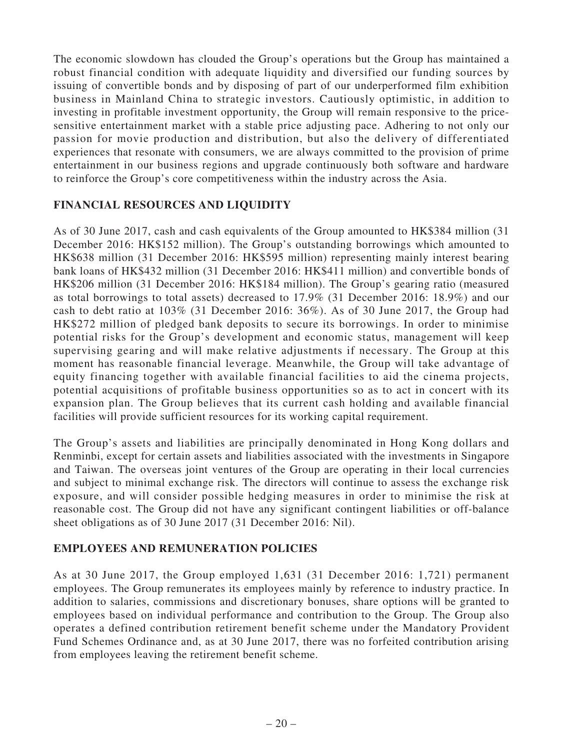The economic slowdown has clouded the Group's operations but the Group has maintained a robust financial condition with adequate liquidity and diversified our funding sources by issuing of convertible bonds and by disposing of part of our underperformed film exhibition business in Mainland China to strategic investors. Cautiously optimistic, in addition to investing in profitable investment opportunity, the Group will remain responsive to the pricesensitive entertainment market with a stable price adjusting pace. Adhering to not only our passion for movie production and distribution, but also the delivery of differentiated experiences that resonate with consumers, we are always committed to the provision of prime entertainment in our business regions and upgrade continuously both software and hardware to reinforce the Group's core competitiveness within the industry across the Asia.

# **FINANCIAL RESOURCES AND LIQUIDITY**

As of 30 June 2017, cash and cash equivalents of the Group amounted to HK\$384 million (31 December 2016: HK\$152 million). The Group's outstanding borrowings which amounted to HK\$638 million (31 December 2016: HK\$595 million) representing mainly interest bearing bank loans of HK\$432 million (31 December 2016: HK\$411 million) and convertible bonds of HK\$206 million (31 December 2016: HK\$184 million). The Group's gearing ratio (measured as total borrowings to total assets) decreased to 17.9% (31 December 2016: 18.9%) and our cash to debt ratio at 103% (31 December 2016: 36%). As of 30 June 2017, the Group had HK\$272 million of pledged bank deposits to secure its borrowings. In order to minimise potential risks for the Group's development and economic status, management will keep supervising gearing and will make relative adjustments if necessary. The Group at this moment has reasonable financial leverage. Meanwhile, the Group will take advantage of equity financing together with available financial facilities to aid the cinema projects, potential acquisitions of profitable business opportunities so as to act in concert with its expansion plan. The Group believes that its current cash holding and available financial facilities will provide sufficient resources for its working capital requirement.

The Group's assets and liabilities are principally denominated in Hong Kong dollars and Renminbi, except for certain assets and liabilities associated with the investments in Singapore and Taiwan. The overseas joint ventures of the Group are operating in their local currencies and subject to minimal exchange risk. The directors will continue to assess the exchange risk exposure, and will consider possible hedging measures in order to minimise the risk at reasonable cost. The Group did not have any significant contingent liabilities or off-balance sheet obligations as of 30 June 2017 (31 December 2016: Nil).

### **EMPLOYEES AND REMUNERATION POLICIES**

As at 30 June 2017, the Group employed 1,631 (31 December 2016: 1,721) permanent employees. The Group remunerates its employees mainly by reference to industry practice. In addition to salaries, commissions and discretionary bonuses, share options will be granted to employees based on individual performance and contribution to the Group. The Group also operates a defined contribution retirement benefit scheme under the Mandatory Provident Fund Schemes Ordinance and, as at 30 June 2017, there was no forfeited contribution arising from employees leaving the retirement benefit scheme.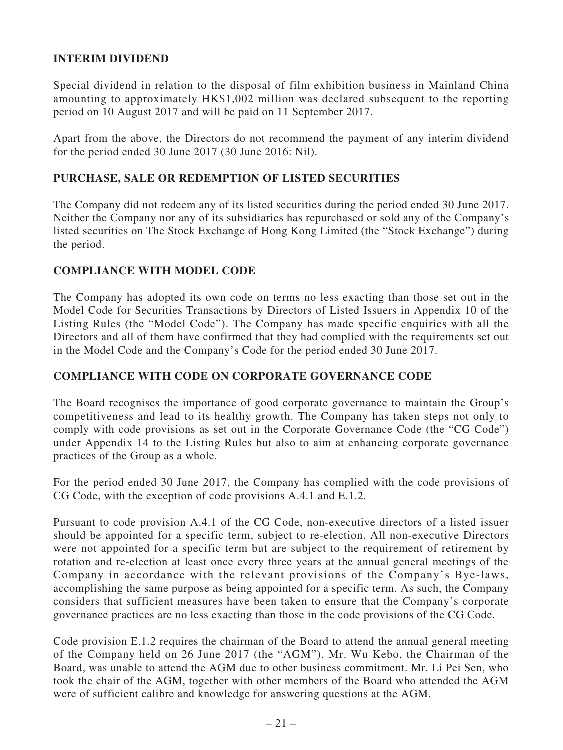# **INTERIM DIVIDEND**

Special dividend in relation to the disposal of film exhibition business in Mainland China amounting to approximately HK\$1,002 million was declared subsequent to the reporting period on 10 August 2017 and will be paid on 11 September 2017.

Apart from the above, the Directors do not recommend the payment of any interim dividend for the period ended 30 June 2017 (30 June 2016: Nil).

### **PURCHASE, SALE OR REDEMPTION OF LISTED SECURITIES**

The Company did not redeem any of its listed securities during the period ended 30 June 2017. Neither the Company nor any of its subsidiaries has repurchased or sold any of the Company's listed securities on The Stock Exchange of Hong Kong Limited (the "Stock Exchange") during the period.

### **COMPLIANCE WITH MODEL CODE**

The Company has adopted its own code on terms no less exacting than those set out in the Model Code for Securities Transactions by Directors of Listed Issuers in Appendix 10 of the Listing Rules (the "Model Code"). The Company has made specific enquiries with all the Directors and all of them have confirmed that they had complied with the requirements set out in the Model Code and the Company's Code for the period ended 30 June 2017.

### **COMPLIANCE WITH CODE ON CORPORATE GOVERNANCE CODE**

The Board recognises the importance of good corporate governance to maintain the Group's competitiveness and lead to its healthy growth. The Company has taken steps not only to comply with code provisions as set out in the Corporate Governance Code (the "CG Code") under Appendix 14 to the Listing Rules but also to aim at enhancing corporate governance practices of the Group as a whole.

For the period ended 30 June 2017, the Company has complied with the code provisions of CG Code, with the exception of code provisions A.4.1 and E.1.2.

Pursuant to code provision A.4.1 of the CG Code, non-executive directors of a listed issuer should be appointed for a specific term, subject to re-election. All non-executive Directors were not appointed for a specific term but are subject to the requirement of retirement by rotation and re-election at least once every three years at the annual general meetings of the Company in accordance with the relevant provisions of the Company's Bye-laws, accomplishing the same purpose as being appointed for a specific term. As such, the Company considers that sufficient measures have been taken to ensure that the Company's corporate governance practices are no less exacting than those in the code provisions of the CG Code.

Code provision E.1.2 requires the chairman of the Board to attend the annual general meeting of the Company held on 26 June 2017 (the "AGM"). Mr. Wu Kebo, the Chairman of the Board, was unable to attend the AGM due to other business commitment. Mr. Li Pei Sen, who took the chair of the AGM, together with other members of the Board who attended the AGM were of sufficient calibre and knowledge for answering questions at the AGM.